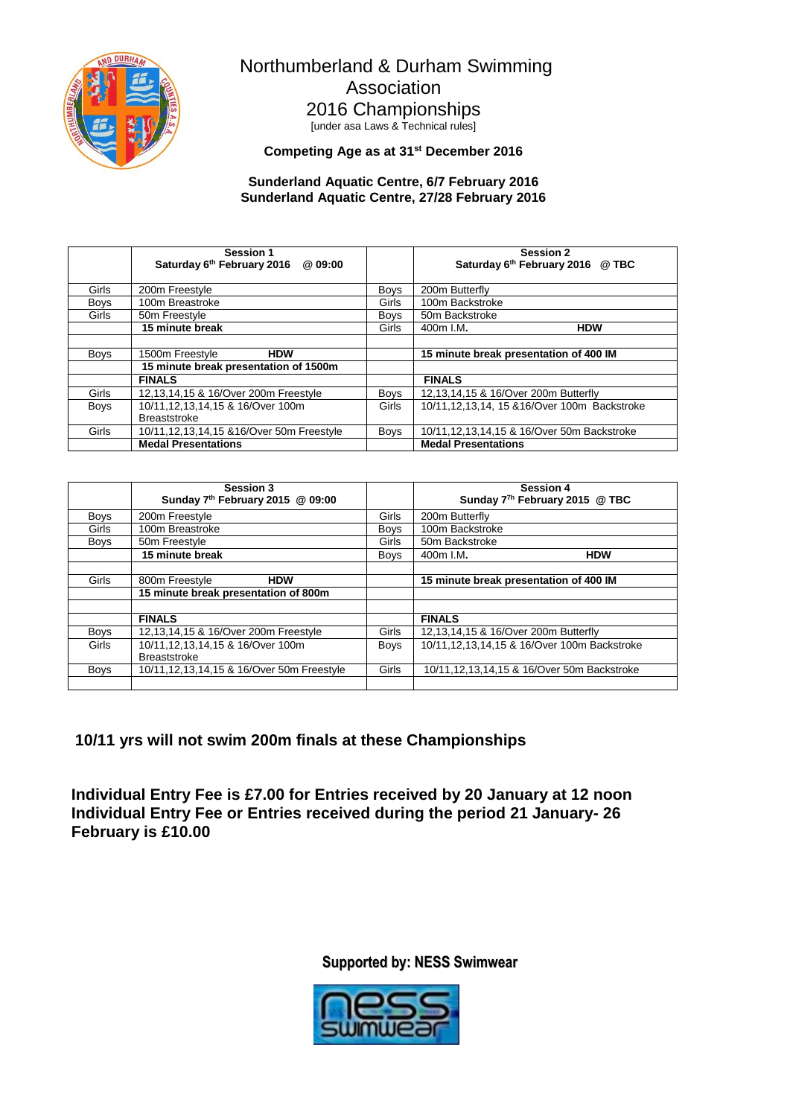

Northumberland & Durham Swimming Association 2016 Championships [under asa Laws & Technical rules]

**Competing Age as at 31st December 2016**

#### **Sunderland Aquatic Centre, 6/7 February 2016 Sunderland Aquatic Centre, 27/28 February 2016**

|             | Session 1<br>Saturday 6th February 2016 @ 09:00 |              | <b>Session 2</b><br>Saturday 6th February 2016 @ TBC |
|-------------|-------------------------------------------------|--------------|------------------------------------------------------|
|             |                                                 |              |                                                      |
| Girls       | 200m Freestyle                                  | Boys         | 200m Butterfly                                       |
| <b>Boys</b> | 100m Breastroke                                 | Girls        | 100m Backstroke                                      |
| Girls       | 50m Freestyle                                   | <b>Boys</b>  | 50m Backstroke                                       |
|             | 15 minute break                                 | Girls        | 400m I.M.<br><b>HDW</b>                              |
|             |                                                 |              |                                                      |
| <b>Boys</b> | <b>HDW</b><br>1500m Freestyle                   |              | 15 minute break presentation of 400 IM               |
|             | 15 minute break presentation of 1500m           |              |                                                      |
|             | <b>FINALS</b>                                   |              | <b>FINALS</b>                                        |
| Girls       | 12,13,14,15 & 16/Over 200m Freestyle            | <b>Boys</b>  | 12,13,14,15 & 16/Over 200m Butterfly                 |
| <b>Boys</b> | 10/11,12,13,14,15 & 16/Over 100m                | <b>Girls</b> | 10/11, 12, 13, 14, 15 & 16/Over 100m Backstroke      |
|             | <b>Breaststroke</b>                             |              |                                                      |
| Girls       | 10/11, 12, 13, 14, 15 & 16/Over 50m Freestyle   | <b>Boys</b>  | 10/11, 12, 13, 14, 15 & 16/Over 50m Backstroke       |
|             | <b>Medal Presentations</b>                      |              | <b>Medal Presentations</b>                           |

|             | Session 3<br>Sunday 7th February 2015 @ 09:00           |             | <b>Session 4</b><br>Sunday 7 <sup>7h</sup> February 2015 @ TBC |
|-------------|---------------------------------------------------------|-------------|----------------------------------------------------------------|
| <b>Boys</b> | 200m Freestyle                                          | Girls       | 200m Butterfly                                                 |
| Girls       | 100m Breastroke                                         | <b>Boys</b> | 100m Backstroke                                                |
| <b>Boys</b> | 50m Freestyle                                           | Girls       | 50m Backstroke                                                 |
|             | 15 minute break                                         | <b>Boys</b> | <b>HDW</b><br>400m I.M.                                        |
|             |                                                         |             |                                                                |
| Girls       | 800m Freestyle<br><b>HDW</b>                            |             | 15 minute break presentation of 400 IM                         |
|             | 15 minute break presentation of 800m                    |             |                                                                |
|             |                                                         |             |                                                                |
|             | <b>FINALS</b>                                           |             | <b>FINALS</b>                                                  |
| <b>Boys</b> | 12,13,14,15 & 16/Over 200m Freestyle                    | Girls       | 12,13,14,15 & 16/Over 200m Butterfly                           |
| Girls       | 10/11,12,13,14,15 & 16/Over 100m<br><b>Breaststroke</b> | Boys        | 10/11,12,13,14,15 & 16/Over 100m Backstroke                    |
| <b>Boys</b> | 10/11, 12, 13, 14, 15 & 16/Over 50m Freestyle           | Girls       | 10/11, 12, 13, 14, 15 & 16/Over 50m Backstroke                 |
|             |                                                         |             |                                                                |

**10/11 yrs will not swim 200m finals at these Championships** 

**Individual Entry Fee is £7.00 for Entries received by 20 January at 12 noon Individual Entry Fee or Entries received during the period 21 January- 26 February is £10.00**

**Supported by: NESS Swimwear**